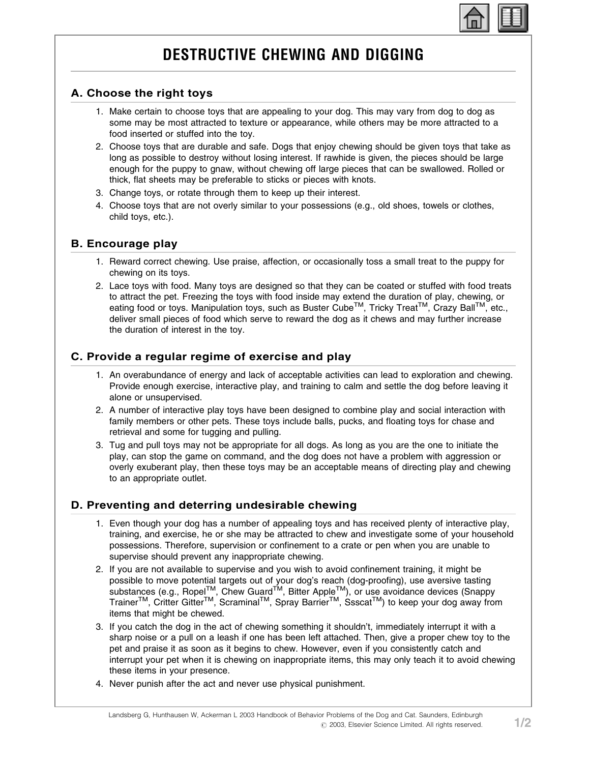

# DESTRUCTIVE CHEWING AND DIGGING

## A. Choose the right toys

- 1. Make certain to choose toys that are appealing to your dog. This may vary from dog to dog as some may be most attracted to texture or appearance, while others may be more attracted to a food inserted or stuffed into the toy.
- 2. Choose toys that are durable and safe. Dogs that enjoy chewing should be given toys that take as long as possible to destroy without losing interest. If rawhide is given, the pieces should be large enough for the puppy to gnaw, without chewing off large pieces that can be swallowed. Rolled or thick, flat sheets may be preferable to sticks or pieces with knots.
- 3. Change toys, or rotate through them to keep up their interest.
- 4. Choose toys that are not overly similar to your possessions (e.g., old shoes, towels or clothes, child toys, etc.).

## B. Encourage play

- 1. Reward correct chewing. Use praise, affection, or occasionally toss a small treat to the puppy for chewing on its toys.
- 2. Lace toys with food. Many toys are designed so that they can be coated or stuffed with food treats to attract the pet. Freezing the toys with food inside may extend the duration of play, chewing, or eating food or toys. Manipulation toys, such as Buster Cube™, Tricky Treat™, Crazy Ball™, etc., deliver small pieces of food which serve to reward the dog as it chews and may further increase the duration of interest in the toy.

## C. Provide a regular regime of exercise and play

- 1. An overabundance of energy and lack of acceptable activities can lead to exploration and chewing. Provide enough exercise, interactive play, and training to calm and settle the dog before leaving it alone or unsupervised.
- 2. A number of interactive play toys have been designed to combine play and social interaction with family members or other pets. These toys include balls, pucks, and floating toys for chase and retrieval and some for tugging and pulling.
- 3. Tug and pull toys may not be appropriate for all dogs. As long as you are the one to initiate the play, can stop the game on command, and the dog does not have a problem with aggression or overly exuberant play, then these toys may be an acceptable means of directing play and chewing to an appropriate outlet.

## D. Preventing and deterring undesirable chewing

- 1. Even though your dog has a number of appealing toys and has received plenty of interactive play, training, and exercise, he or she may be attracted to chew and investigate some of your household possessions. Therefore, supervision or confinement to a crate or pen when you are unable to supervise should prevent any inappropriate chewing.
- 2. If you are not available to supervise and you wish to avoid confinement training, it might be possible to move potential targets out of your dog's reach (dog-proofing), use aversive tasting substances (e.g., Ropel™, Chew Guard<sup>TM</sup>, Bitter Apple<sup>TM</sup>), or use avoidance devices (Snappy Trainer<sup>TM</sup>, Critter Gitter<sup>TM</sup>, Scraminal<sup>TM</sup>, Spray Barrier<sup>TM</sup>, Ssscat<sup>TM</sup>) to keep your dog away from items that might be chewed.
- 3. If you catch the dog in the act of chewing something it shouldn't, immediately interrupt it with a sharp noise or a pull on a leash if one has been left attached. Then, give a proper chew toy to the pet and praise it as soon as it begins to chew. However, even if you consistently catch and interrupt your pet when it is chewing on inappropriate items, this may only teach it to avoid chewing these items in your presence.
- 4. Never punish after the act and never use physical punishment.